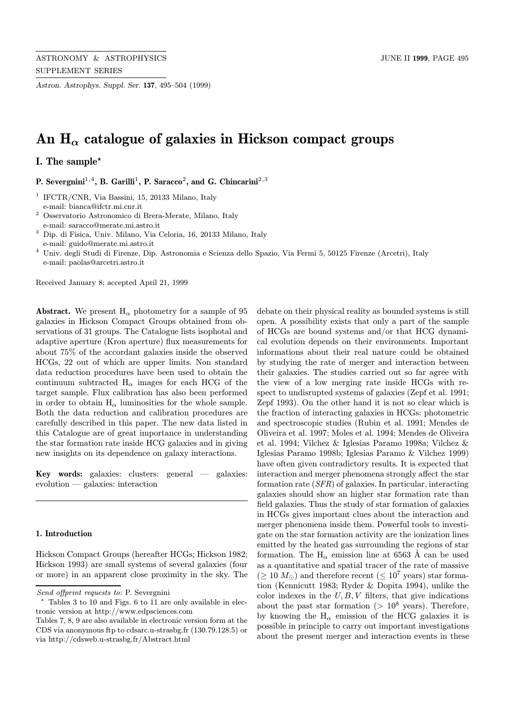Astron. Astrophys. Suppl. Ser. 137, 495–504 (1999)

# An  $H_{\alpha}$  catalogue of galaxies in Hickson compact groups

# I. The sample?

P. Severgnini<sup>1,4</sup>, B. Garilli<sup>1</sup>, P. Saracco<sup>2</sup>, and G. Chincarini<sup>2,3</sup>

<sup>1</sup> IFCTR/CNR, Via Bassini, 15, 20133 Milano, Italy e-mail: bianca@ifctr.mi.cnr.it

- <sup>2</sup> Osservatorio Astronomico di Brera-Merate, Milano, Italy e-mail: saracco@merate.mi.astro.it
- $^3$  Dip. di Fisica, Univ. Milano, Via Celoria, 16, 20133 Milano, Italy e-mail: guido@merate.mi.astro.it
- <sup>4</sup> Univ. degli Studi di Firenze, Dip. Astronomia e Scienza dello Spazio, Via Fermi 5, 50125 Firenze (Arcetri), Italy e-mail: paolas@arcetri.astro.it

Received January 8; accepted April 21, 1999

**Abstract.** We present  $H_{\alpha}$  photometry for a sample of 95 galaxies in Hickson Compact Groups obtained from observations of 31 groups. The Catalogue lists isophotal and adaptive aperture (Kron aperture) flux measurements for about 75% of the accordant galaxies inside the observed HCGs, 22 out of which are upper limits. Non standard data reduction procedures have been used to obtain the continuum subtracted  $H_{\alpha}$  images for each HCG of the target sample. Flux calibration has also been performed in order to obtain  $H_{\alpha}$  luminosities for the whole sample. Both the data reduction and calibration procedures are carefully described in this paper. The new data listed in this Catalogue are of great importance in understanding the star formation rate inside HCG galaxies and in giving new insights on its dependence on galaxy interactions.

Key words: galaxies: clusters: general — galaxies: evolution — galaxies: interaction

#### 1. Introduction

Hickson Compact Groups (hereafter HCGs; Hickson 1982; Hickson 1993) are small systems of several galaxies (four or more) in an apparent close proximity in the sky. The debate on their physical reality as bounded systems is still open. A possibility exists that only a part of the sample of HCGs are bound systems and/or that HCG dynamical evolution depends on their environments. Important informations about their real nature could be obtained by studying the rate of merger and interaction between their galaxies. The studies carried out so far agree with the view of a low merging rate inside HCGs with respect to undisrupted systems of galaxies (Zepf et al. 1991; Zepf 1993). On the other hand it is not so clear which is the fraction of interacting galaxies in HCGs: photometric and spectroscopic studies (Rubin et al. 1991; Mendes de Oliveira et al. 1997; Moles et al. 1994; Mendes de Oliveira et al. 1994; Vilchez & Iglesias Paramo 1998a; Vilchez & Iglesias Paramo 1998b; Iglesias Paramo & Vilchez 1999) have often given contradictory results. It is expected that interaction and merger phenomena strongly affect the star formation rate (SFR) of galaxies. In particular, interacting galaxies should show an higher star formation rate than field galaxies. Thus the study of star formation of galaxies in HCGs gives important clues about the interaction and merger phenomena inside them. Powerful tools to investigate on the star formation activity are the ionization lines emitted by the heated gas surrounding the regions of star formation. The  $H_{\alpha}$  emission line at 6563 Å can be used as a quantitative and spatial tracer of the rate of massive  $( \geq 10 M_{\odot})$  and therefore recent  $( \leq 10^{7} \text{ years})$  star formation (Kennicutt 1983; Ryder & Dopita 1994), unlike the color indexes in the  $U, B, V$  filters, that give indications about the past star formation ( $> 10^8$  years). Therefore, by knowing the  $H_{\alpha}$  emission of the HCG galaxies it is possible in principle to carry out important investigations about the present merger and interaction events in these

Send offprint requests to: P. Severgnini

Tables 3 to 10 and Figs. 6 to 11 are only available in electronic version at http://www.edpsciences.com

Tables 7, 8, 9 are also available in electronic version form at the CDS via anonymous ftp to cdsarc.u-strasbg.fr (130.79.128.5) or via http://cdsweb.u-strasbg.fr/Abstract.html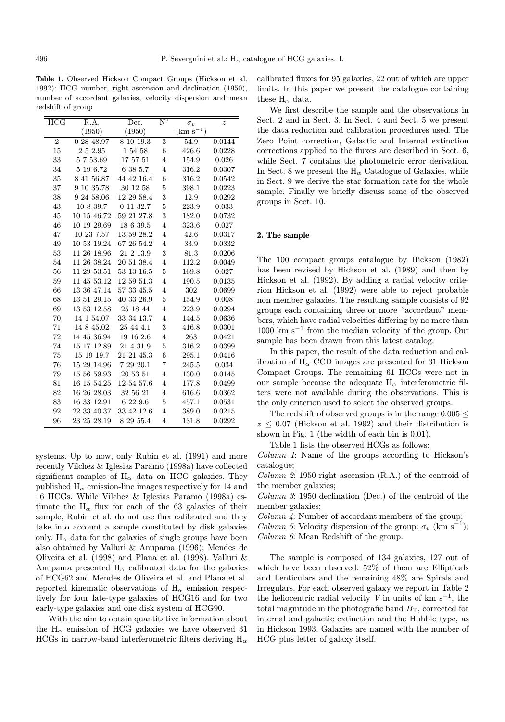Table 1. Observed Hickson Compact Groups (Hickson et al. 1992): HCG number, right ascension and declination (1950), number of accordant galaxies, velocity dispersion and mean redshift of group

| <b>HCG</b>     | R.A.          | Dec.       | $\mathrm{N}^\circ$ | $\sigma_v$        | $\boldsymbol{z}$ |  |
|----------------|---------------|------------|--------------------|-------------------|------------------|--|
|                | (1950)        | (1950)     |                    | $\rm (km~s^{-1})$ |                  |  |
| $\overline{2}$ | 0 28 48.97    | 8 10 19.3  | 3                  | 54.9              | 0.0144           |  |
| 15             | 2 5 2.95      | 1 54 58    | 6                  | 426.6             | 0.0228           |  |
| 33             | 5753.69       | 17 57 51   | $\overline{4}$     | 154.9             | 0.026            |  |
| 34             | 5 19 6.72     | 6 38 5.7   | 4                  | 316.2             | 0.0307           |  |
| 35             | 8 41 56.87    | 44 42 16.4 | $\boldsymbol{6}$   | 316.2             | 0.0542           |  |
| 37             | 10 35.78<br>9 | 30 12 58   | $\overline{5}$     | 398.1             | 0.0223           |  |
| 38             | 9 24 58.06    | 12 29 58.4 | 3                  | 12.9              | 0.0292           |  |
| 43             | 10 8 39.7     | 0 11 32.7  | 5                  | 223.9             | 0.033            |  |
| 45             | 10 15 46.72   | 59 21 27.8 | 3                  | 182.0             | 0.0732           |  |
| 46             | 10 19 29.69   | 18 6 39.5  | $\overline{4}$     | 323.6             | 0.027            |  |
| 47             | 10 23 7.57    | 13 59 28.2 | $\overline{4}$     | 42.6              | 0.0317           |  |
| 49             | 10 53 19.24   | 67 26 54.2 | $\overline{4}$     | 33.9              | 0.0332           |  |
| 53             | 11 26 18.96   | 21 2 13.9  | 3                  | 81.3              | 0.0206           |  |
| 54             | 11 26 38.24   | 20 51 38.4 | $\overline{4}$     | 112.2             | 0.0049           |  |
| 56             | 11 29 53.51   | 53 13 16.5 | $\overline{5}$     | 169.8             | 0.027            |  |
| 59             | 11 45 53.12   | 12 59 51.3 | $\overline{4}$     | 190.5             | 0.0135           |  |
| 66             | 13 36 47.14   | 57 33 45.5 | $\overline{4}$     | 302               | 0.0699           |  |
| 68             | 13 51 29.15   | 40 33 26.9 | 5                  | 154.9             | 0.008            |  |
| 69             | 13 53 12.58   | 25 18 44   | $\overline{4}$     | 223.9             | 0.0294           |  |
| 70             | 14 1 54.07    | 33 34 13.7 | 4                  | 144.5             | 0.0636           |  |
| 71             | 14 8 45.02    | 25 44 4.1  | 3                  | 416.8             | 0.0301           |  |
| 72             | 14 45 36.94   | 19 16 2.6  | $\overline{4}$     | 263               | 0.0421           |  |
| 74             | 15 17 12.89   | 21 4 31.9  | $\overline{5}$     | 316.2             | 0.0399           |  |
| 75             | 15 19 19.7    | 21 21 45.3 | 6                  | 295.1             | 0.0416           |  |
| 76             | 15 29 14.96   | 7 29 20.1  | 7                  | 245.5             | 0.034            |  |
| 79             | 15 56 59.93   | 20 53 51   | $\overline{4}$     | 130.0             | 0.0145           |  |
| 81             | 16 15 54.25   | 12 54 57.6 | $\overline{4}$     | 177.8             | 0.0499           |  |
| 82             | 16 26 28.03   | 32 56 21   | 4                  | 616.6             | 0.0362           |  |
| 83             | 16 33 12.91   | 6 22 9.6   | 5                  | 457.1             | 0.0531           |  |
| 92             | 22 33 40.37   | 33 42 12.6 | $\overline{4}$     | 389.0             | 0.0215           |  |
| 96             | 23 25 28.19   | 8 29 55.4  | $\overline{4}$     | 131.8             | 0.0292           |  |

systems. Up to now, only Rubin et al. (1991) and more recently Vilchez & Iglesias Paramo (1998a) have collected significant samples of  $H_{\alpha}$  data on HCG galaxies. They published  $H_{\alpha}$  emission-line images respectively for 14 and 16 HCGs. While Vilchez & Iglesias Paramo (1998a) estimate the  $H_{\alpha}$  flux for each of the 63 galaxies of their sample, Rubin et al. do not use flux calibrated and they take into account a sample constituted by disk galaxies only.  $H_{\alpha}$  data for the galaxies of single groups have been also obtained by Valluri & Anupama (1996); Mendes de Oliveira et al. (1998) and Plana et al. (1998). Valluri & Anupama presented  $H_{\alpha}$  calibrated data for the galaxies of HCG62 and Mendes de Oliveira et al. and Plana et al. reported kinematic observations of  $H_{\alpha}$  emission respectively for four late-type galaxies of HCG16 and for two early-type galaxies and one disk system of HCG90.

With the aim to obtain quantitative information about the  $H_{\alpha}$  emission of HCG galaxies we have observed 31 HCGs in narrow-band interferometric filters deriving  $H_{\alpha}$  calibrated fluxes for 95 galaxies, 22 out of which are upper limits. In this paper we present the catalogue containing these  $H_{\alpha}$  data.

We first describe the sample and the observations in Sect. 2 and in Sect. 3. In Sect. 4 and Sect. 5 we present the data reduction and calibration procedures used. The Zero Point correction, Galactic and Internal extinction corrections applied to the fluxes are described in Sect. 6, while Sect. 7 contains the photometric error derivation. In Sect. 8 we present the  $H_{\alpha}$  Catalogue of Galaxies, while in Sect. 9 we derive the star formation rate for the whole sample. Finally we briefly discuss some of the observed groups in Sect. 10.

## 2. The sample

The 100 compact groups catalogue by Hickson (1982) has been revised by Hickson et al. (1989) and then by Hickson et al. (1992). By adding a radial velocity criterion Hickson et al. (1992) were able to reject probable non member galaxies. The resulting sample consists of 92 groups each containing three or more "accordant" members, which have radial velocities differing by no more than  $1000 \text{ km s}^{-1}$  from the median velocity of the group. Our sample has been drawn from this latest catalog.

In this paper, the result of the data reduction and calibration of  $H_{\alpha}$  CCD images are presented for 31 Hickson Compact Groups. The remaining 61 HCGs were not in our sample because the adequate  $H_{\alpha}$  interferometric filters were not available during the observations. This is the only criterion used to select the observed groups.

The redshift of observed groups is in the range  $0.005 <$  $z \leq 0.07$  (Hickson et al. 1992) and their distribution is shown in Fig. 1 (the width of each bin is 0.01).

Table 1 lists the observed HCGs as follows:

Column 1: Name of the groups according to Hickson's catalogue;

Column  $\mathcal{Z}$ : 1950 right ascension (R.A.) of the centroid of the member galaxies;

Column 3: 1950 declination (Dec.) of the centroid of the member galaxies;

Column 4: Number of accordant members of the group;

*Column 5*: Velocity dispersion of the group:  $\sigma_v$  (km s<sup>-1</sup>); Column 6: Mean Redshift of the group.

The sample is composed of 134 galaxies, 127 out of which have been observed. 52% of them are Ellipticals and Lenticulars and the remaining 48% are Spirals and Irregulars. For each observed galaxy we report in Table 2 the heliocentric radial velocity V in units of km  $s^{-1}$ , the total magnitude in the photografic band  $B_T$ , corrected for internal and galactic extinction and the Hubble type, as in Hickson 1993. Galaxies are named with the number of HCG plus letter of galaxy itself.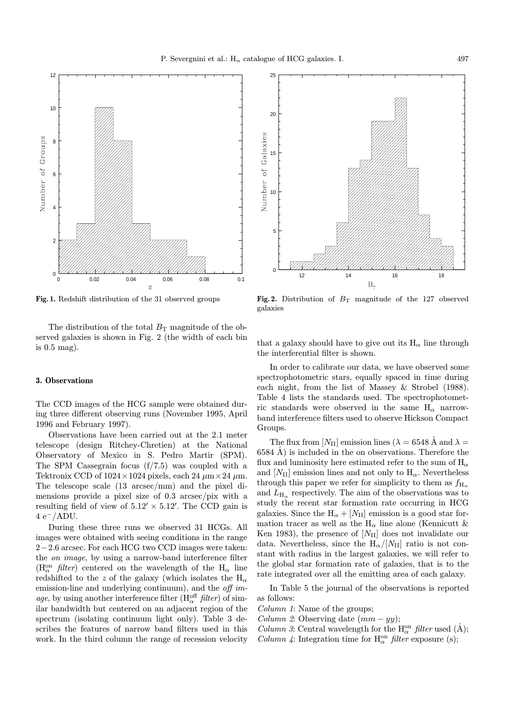

Fig. 1. Redshift distribution of the 31 observed groups

The distribution of the total  $B_T$  magnitude of the observed galaxies is shown in Fig. 2 (the width of each bin is 0.5 mag).

## 3. Observations

The CCD images of the HCG sample were obtained during three different observing runs (November 1995, April 1996 and February 1997).

Observations have been carried out at the 2.1 meter telescope (design Ritchey-Chretien) at the National Observatory of Mexico in S. Pedro Martir (SPM). The SPM Cassegrain focus (f/7.5) was coupled with a Tektronix CCD of  $1024 \times 1024$  pixels, each 24  $\mu$ m × 24  $\mu$ m. The telescope scale (13 arcsec/mm) and the pixel dimensions provide a pixel size of 0.3 arcsec/pix with a resulting field of view of  $5.12' \times 5.12'$ . The CCD gain is  $4 e^-/ADU$ .

During these three runs we observed 31 HCGs. All images were obtained with seeing conditions in the range 2−2.6 arcsec. For each HCG two CCD images were taken: the on image, by using a narrow-band interference filter ( $\rm H^{on}_{\alpha}$  *filter*) centered on the wavelength of the  $\rm H_{\alpha}$  line redshifted to the z of the galaxy (which isolates the  $H_{\alpha}$ emission-line and underlying continuum), and the *off im*age, by using another interference filter ( $H_{\alpha}^{\text{off}}$  filter) of similar bandwidth but centered on an adjacent region of the spectrum (isolating continuum light only). Table 3 describes the features of narrow band filters used in this work. In the third column the range of recession velocity



Fig. 2. Distribution of  $B_T$  magnitude of the 127 observed galaxies

that a galaxy should have to give out its  $H_{\alpha}$  line through the interferential filter is shown.

In order to calibrate our data, we have observed some spectrophotometric stars, equally spaced in time during each night, from the list of Massey & Strobel (1988). Table 4 lists the standards used. The spectrophotometric standards were observed in the same  $H_{\alpha}$  narrowband interference filters used to observe Hickson Compact Groups.

The flux from  $[N_{\text{II}}]$  emission lines ( $\lambda = 6548$  Å and  $\lambda =$  $6584 \text{ Å}$ ) is included in the on observations. Therefore the flux and luminosity here estimated refer to the sum of  $H_{\alpha}$ and  $[N_{\text{II}}]$  emission lines and not only to  $H_{\alpha}$ . Nevertheless through this paper we refer for simplicity to them as  $f_{\rm H_{\alpha}}$ and  $L_{\rm H_{\alpha}}$  respectively. The aim of the observations was to study the recent star formation rate occurring in HCG galaxies. Since the  $H_{\alpha} + [N_{II}]$  emission is a good star formation tracer as well as the  $H_{\alpha}$  line alone (Kennicutt & Ken 1983), the presence of  $[N_{\text{II}}]$  does not invalidate our data. Nevertheless, since the  $H_{\alpha}/[N_{II}]$  ratio is not constant with radius in the largest galaxies, we will refer to the global star formation rate of galaxies, that is to the rate integrated over all the emitting area of each galaxy.

In Table 5 the journal of the observations is reported as follows:

Column 1: Name of the groups;

- Column 2: Observing date  $(mm yy)$ ;
- *Column 3*: Central wavelength for the  $H_{\alpha}^{on}$  *filter* used (Å);
- *Column 4*: Integration time for  $H_{\alpha}^{on}$  *filter* exposure (s);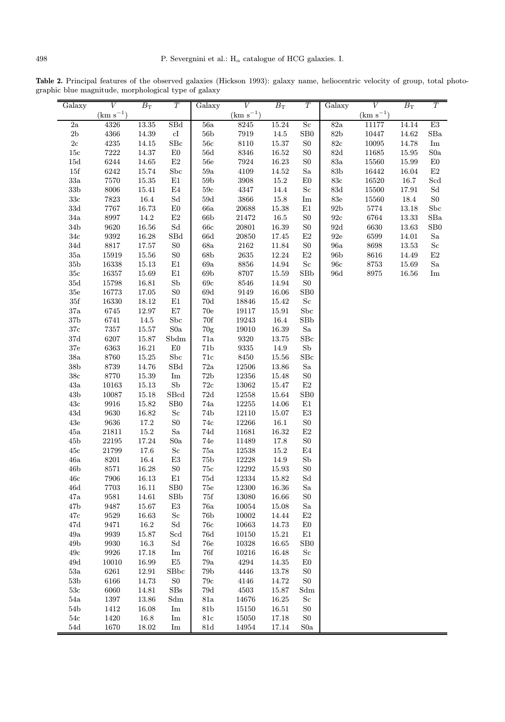Table 2. Principal features of the observed galaxies (Hickson 1993): galaxy name, heliocentric velocity of group, total photographic blue magnitude, morphological type of galaxy

| Galaxy          | V             | $B_{\rm T}$ | $\overline{T}$                                                                                                             | Galaxy           | V                   | $B_{\rm T}$ | $\overline{T}$                                                                                                             | Galaxy          | V             | $B_{\rm T}$ | $\overline{T}$                                                                                                             |
|-----------------|---------------|-------------|----------------------------------------------------------------------------------------------------------------------------|------------------|---------------------|-------------|----------------------------------------------------------------------------------------------------------------------------|-----------------|---------------|-------------|----------------------------------------------------------------------------------------------------------------------------|
|                 | $(km s^{-1})$ |             |                                                                                                                            |                  | $\rm (km~s^{-1})$   |             |                                                                                                                            |                 | $(km s^{-1})$ |             |                                                                                                                            |
| $\overline{2a}$ | 4326          | 13.35       | SBd                                                                                                                        | $\overline{56a}$ | 8245                | 15.24       | $S_{\rm c}$                                                                                                                | 82a             | 11177         | 14.14       | E3                                                                                                                         |
| $2\mathrm{b}$   | 4366          | 14.39       | cI                                                                                                                         | $56\mathrm{b}$   | 7919                | 14.5        | SB0                                                                                                                        | $82\mathrm{b}$  | 10447         | 14.62       | SBa                                                                                                                        |
| $2\mathrm{c}$   | 4235          | 14.15       | $S_{BC}$                                                                                                                   | $56\mathrm{c}$   | $8110\,$            | 15.37       | ${\rm S0}$                                                                                                                 | $82\mathrm{c}$  | 10095         | 14.78       | $\operatorname{Im}% \left\{ \mathcal{M}_{\mathrm{H}}\right\} =\operatorname{Im}% \left\{ \mathcal{M}_{\mathrm{H}}\right\}$ |
| $15\mathrm{c}$  | 7222          | 14.37       | E0                                                                                                                         | 56d              | 8346                | $16.52\,$   | ${\rm S0}$                                                                                                                 | $82\mathrm{d}$  | 11685         | 15.95       | S0a                                                                                                                        |
| $15d\,$         | 6244          | 14.65       | $\mathrm{E}2$                                                                                                              | $56e$            | 7924                | 16.23       | S <sub>0</sub>                                                                                                             | $83\mathrm{a}$  | 15560         | 15.99       | ${\rm E0}$                                                                                                                 |
| $15\mathrm{f}$  | 6242          | 15.74       | ${\rm Sbc}$                                                                                                                | $59\mathrm{a}$   | 4109                | 14.52       | Sa                                                                                                                         | $83\mathrm{b}$  | 16442         | 16.04       | $\rm E2$                                                                                                                   |
| $33\mathrm{a}$  | 7570          | 15.35       | $\rm E1$                                                                                                                   | 59 <sub>b</sub>  | 3908                | 15.2        | E0                                                                                                                         | $83\mathrm{c}$  | 16520         | 16.7        | Scd                                                                                                                        |
| $33\mathrm{b}$  | 8006          | 15.41       | $\rm{E}4$                                                                                                                  | $59\mathrm{c}$   | $\rm 4347$          | 14.4        | $\rm Sc$                                                                                                                   | $83\mathrm{d}$  | 15500         | 17.91       | Sd                                                                                                                         |
| $33\mathrm{c}$  | 7823          | 16.4        | $\operatorname*{Sd}% \nolimits_{\mathbb{Z}}\left( \mathcal{M}_{0}^{\ast}\right) ^{\ast}$                                   | 59d              | $3866\,$            | 15.8        | $\operatorname{Im}% \left\{ \mathcal{M}_{\mathrm{H}}\right\} =\operatorname{Im}% \left\{ \mathcal{M}_{\mathrm{H}}\right\}$ | $83\mathrm{e}$  | 15560         | 18.4        | ${\rm S0}$                                                                                                                 |
| $33\mathrm{d}$  | 7767          | 16.73       | E0                                                                                                                         | 66a              | 20688               | 15.38       | E1                                                                                                                         | 92 <sub>b</sub> | 5774          | 13.18       | Sbc                                                                                                                        |
| $34\mathrm{a}$  | 8997          | 14.2        | E2                                                                                                                         | 66b              | 21472               | 16.5        | ${\rm S0}$                                                                                                                 | $92\mathrm{c}$  | 6764          | 13.33       | SBa                                                                                                                        |
| $34\mathrm{b}$  | 9620          | 16.56       | $\operatorname{Sd}$                                                                                                        | 66c              | 20801               | 16.39       | ${\rm S0}$                                                                                                                 | $92\mathrm{d}$  | 6630          | 13.63       | SB0                                                                                                                        |
| $34\mathrm{c}$  | 9392          | 16.28       | SBd                                                                                                                        | 66d              | 20850               | 17.45       | E2                                                                                                                         | $92\mathrm{e}$  | 6599          | 14.01       | Sa                                                                                                                         |
| $34\mathrm{d}$  | 8817          | 17.57       | ${\rm S0}$                                                                                                                 | 68a              | 2162                | 11.84       | ${\rm S0}$                                                                                                                 | 96a             | 8698          | 13.53       | $\rm Sc$                                                                                                                   |
| $35\mathrm{a}$  | 15919         | 15.56       | ${\rm S0}$                                                                                                                 | 68b              | $2635\,$            | 12.24       | $\rm E2$                                                                                                                   | 96 <sub>b</sub> | 8616          | 14.49       | $\rm E2$                                                                                                                   |
| $35\mathrm{b}$  | 16338         | 15.13       | E1                                                                                                                         | $69\mathrm{a}$   | $8856\,$            | 14.94       | $\rm Sc$                                                                                                                   | 96c             | 8753          | 15.69       | Sa                                                                                                                         |
| $35\mathrm{c}$  | 16357         | 15.69       | E1                                                                                                                         | 69b              | $8707\,$            | 15.59       | SBb                                                                                                                        | 96d             | 8975          | 16.56       | Im                                                                                                                         |
| $35\mathrm{d}$  | 15798         | 16.81       | ${\rm Sb}$                                                                                                                 | 69c              | 8546                | 14.94       | ${\rm S0}$                                                                                                                 |                 |               |             |                                                                                                                            |
| $35\mathrm{e}$  | 16773         | 17.05       | S <sub>0</sub>                                                                                                             | 69d              | 9149                | 16.06       | SB <sub>0</sub>                                                                                                            |                 |               |             |                                                                                                                            |
| $35\mathrm{f}$  | 16330         | 18.12       | E1                                                                                                                         | 70d              | 18846               | 15.42       | $\rm Sc$                                                                                                                   |                 |               |             |                                                                                                                            |
| $37\mathrm{a}$  | 6745          | 12.97       | $\rm E7$                                                                                                                   | $70\mathrm{e}$   | 19117               | 15.91       | Sbc                                                                                                                        |                 |               |             |                                                                                                                            |
| $37\mathrm{b}$  | 6741          | 14.5        | Sbc                                                                                                                        | 70f              | 19243               | 16.4        | SBb                                                                                                                        |                 |               |             |                                                                                                                            |
| $37\mathrm{c}$  | 7357          | 15.57       | $\rm S0a$                                                                                                                  | 70g              | 19010               | 16.39       | Sa                                                                                                                         |                 |               |             |                                                                                                                            |
| $37\mathrm{d}$  | 6207          | 15.87       | Sbdm                                                                                                                       | 71a              | 9320                | 13.75       | SBc                                                                                                                        |                 |               |             |                                                                                                                            |
| $37\mathrm{e}$  | 6363          | 16.21       | ${\rm E0}$                                                                                                                 | 71b              | $\boldsymbol{9335}$ | 14.9        | Sb                                                                                                                         |                 |               |             |                                                                                                                            |
| $38\mathrm{a}$  | 8760          | 15.25       | Sbc                                                                                                                        | $71\mathrm{c}$   | $8450\,$            | 15.56       | $S_{BC}$                                                                                                                   |                 |               |             |                                                                                                                            |
| $38\mathrm{b}$  | 8739          | 14.76       | $\operatorname{SBd}$                                                                                                       | $72\mathrm{a}$   | 12506               | 13.86       | Sa                                                                                                                         |                 |               |             |                                                                                                                            |
| $38\mathrm{c}$  | 8770          | 15.39       | $\operatorname{Im}% \left\{ \mathcal{M}_{\mathrm{H}}\right\} =\operatorname{Im}% \left\{ \mathcal{M}_{\mathrm{H}}\right\}$ | 72b              | 12356               | 15.48       | ${\rm S0}$                                                                                                                 |                 |               |             |                                                                                                                            |
| $43\mathrm{a}$  | $10163\,$     | 15.13       | ${\rm Sb}$                                                                                                                 | $72\mathrm{c}$   | 13062               | 15.47       | E2                                                                                                                         |                 |               |             |                                                                                                                            |
| $43\mathrm{b}$  | 10087         | 15.18       | SBcd                                                                                                                       | $72\mathrm{d}$   | $12558\,$           | 15.64       | SB <sub>0</sub>                                                                                                            |                 |               |             |                                                                                                                            |
| $43\mathrm{c}$  | 9916          | 15.82       | SB <sub>0</sub>                                                                                                            | 74a              | $12255\,$           | 14.06       | E1                                                                                                                         |                 |               |             |                                                                                                                            |
| $43\mathrm{d}$  | 9630          | 16.82       | $\rm Sc$                                                                                                                   | 74b              | 12110               | 15.07       | $\mathrm{E}3$                                                                                                              |                 |               |             |                                                                                                                            |
| $43\mathrm{e}$  | 9636          | 17.2        | ${\rm S0}$                                                                                                                 | 74c              | 12266               | 16.1        | ${\rm S0}$                                                                                                                 |                 |               |             |                                                                                                                            |
| $45\mathrm{a}$  | 21811         | $15.2\,$    | Sa                                                                                                                         | 74d              | 11681               | 16.32       | $\rm E2$                                                                                                                   |                 |               |             |                                                                                                                            |
| $45\mathrm{b}$  | 22195         | 17.24       | S0a                                                                                                                        | $74\mathrm{e}$   | 11489               | 17.8        | ${\rm S0}$                                                                                                                 |                 |               |             |                                                                                                                            |
| $45\mathrm{c}$  | 21799         | 17.6        | Sc                                                                                                                         | $75\mathrm{a}$   | 12538               | 15.2        | E <sub>4</sub>                                                                                                             |                 |               |             |                                                                                                                            |
| $46\mathrm{a}$  | 8201          | 16.4        | $\mathrm{E}3$                                                                                                              | 75 <sub>b</sub>  | 12228               | 14.9        | ${\rm Sb}$                                                                                                                 |                 |               |             |                                                                                                                            |
| 46b             | 8571          | 16.28       | ${\rm S0}$                                                                                                                 | 75c              | 12292               | 15.93       | S <sub>0</sub>                                                                                                             |                 |               |             |                                                                                                                            |
| $46\mathrm{c}$  | 7906          | 16.13       | $\rm E1$                                                                                                                   | $75\mathrm{d}$   | $12334\,$           | 15.82       | $\operatorname*{Sd}% \nolimits_{\mathbb{Z}}\left( \mathcal{M}_{0}^{\ast}\right) ^{\ast}$                                   |                 |               |             |                                                                                                                            |
| 46d             | 7703          | 16.11       | S <sub>B0</sub>                                                                                                            | <b>75e</b>       | 12300               | 16.36       | Sa                                                                                                                         |                 |               |             |                                                                                                                            |
| $47\mathrm{a}$  | 9581          | 14.61       | ${\bf S}{\bf B}{\bf b}$                                                                                                    | $75\mathrm{f}$   | 13080               | 16.66       | S <sub>0</sub>                                                                                                             |                 |               |             |                                                                                                                            |
| 47 <sub>b</sub> | 9487          | 15.67       | E3                                                                                                                         | $76\mathrm{a}$   | 10054               | 15.08       | $\rm Sa$                                                                                                                   |                 |               |             |                                                                                                                            |
| $47\mathrm{c}$  | 9529          | 16.63       | $\rm Sc$                                                                                                                   | 76b              | 10002               | 14.44       | $\rm E2$                                                                                                                   |                 |               |             |                                                                                                                            |
| $47\mathrm{d}$  | 9471          | $16.2\,$    | Sd                                                                                                                         | $76\mathrm{c}$   | 10663               | 14.73       | E0                                                                                                                         |                 |               |             |                                                                                                                            |
| $49\mathrm{a}$  | 9939          | 15.87       | $\operatorname{Scd}$                                                                                                       | 76d              | 10150               | 15.21       | $\rm E1$                                                                                                                   |                 |               |             |                                                                                                                            |
| $49\mathrm{b}$  | 9930          | $16.3\,$    | $\operatorname{Sd}$                                                                                                        | $76\mathrm{e}$   | 10328               | 16.65       | SB <sub>0</sub>                                                                                                            |                 |               |             |                                                                                                                            |
| $49\mathrm{c}$  | 9926          | 17.18       | $\operatorname{Im}% \left\{ \mathcal{M}_{\mathrm{H}}\right\} =\operatorname{Im}% \left\{ \mathcal{M}_{\mathrm{H}}\right\}$ | $76\mathrm{f}$   | 10216               | 16.48       | Sc                                                                                                                         |                 |               |             |                                                                                                                            |
| $49\mathrm{d}$  | 10010         | 16.99       | E5                                                                                                                         | 79a              | $4294\,$            | $14.35\,$   | E0                                                                                                                         |                 |               |             |                                                                                                                            |
| $53\mathrm{a}$  | 6261          | 12.91       | SBbc                                                                                                                       | 79b              | 4446                | 13.78       | ${\rm S0}$                                                                                                                 |                 |               |             |                                                                                                                            |
| $53\mathrm{b}$  | 6166          | 14.73       | S <sub>0</sub>                                                                                                             | $79\mathrm{c}$   | 4146                | 14.72       | ${\rm S0}$                                                                                                                 |                 |               |             |                                                                                                                            |
| $53\mathrm{c}$  | 6060          | 14.81       | $\rm{SBs}$                                                                                                                 | 79d              | 4503                | 15.87       | Sdm                                                                                                                        |                 |               |             |                                                                                                                            |
| $54\mathrm{a}$  | 1397          | 13.86       | Sdm                                                                                                                        | 81a              | 14676               | 16.25       | $\rm Sc$                                                                                                                   |                 |               |             |                                                                                                                            |
| $54\mathrm{b}$  | 1412          | 16.08       | Im                                                                                                                         | 81b              | 15150               | $16.51\,$   | S <sub>0</sub>                                                                                                             |                 |               |             |                                                                                                                            |
| $54\mathrm{c}$  | 1420          | 16.8        | Im                                                                                                                         | 81c              | 15050               | 17.18       | ${\rm S0}$                                                                                                                 |                 |               |             |                                                                                                                            |
| $54\mathrm{d}$  | 1670          | 18.02       | Im                                                                                                                         | 81d              | 14954               | 17.14       | S <sub>0</sub> a                                                                                                           |                 |               |             |                                                                                                                            |
|                 |               |             |                                                                                                                            |                  |                     |             |                                                                                                                            |                 |               |             |                                                                                                                            |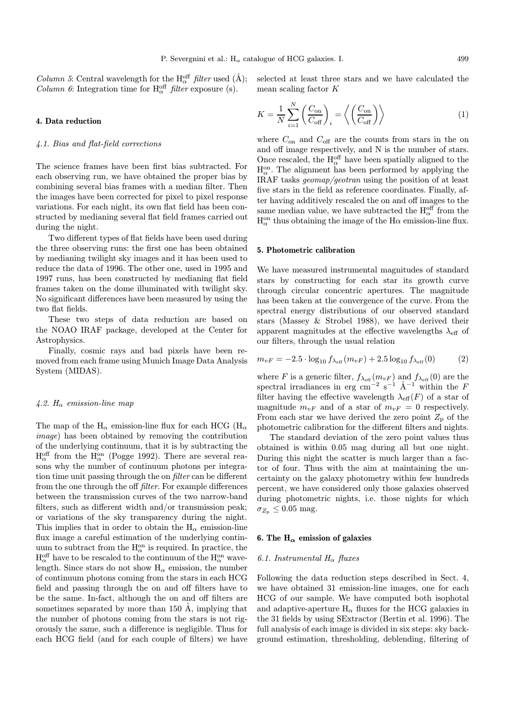*Column 5*: Central wavelength for the  $H_{\alpha}^{\text{off}}$  *filter* used (Å); *Column 6*: Integration time for  $H_{\alpha}^{off}$  *filter* exposure (s).

#### 4. Data reduction

#### 4.1. Bias and flat-field corrections

The science frames have been first bias subtracted. For each observing run, we have obtained the proper bias by combining several bias frames with a median filter. Then the images have been corrected for pixel to pixel response variations. For each night, its own flat field has been constructed by medianing several flat field frames carried out during the night.

Two different types of flat fields have been used during the three observing runs: the first one has been obtained by medianing twilight sky images and it has been used to reduce the data of 1996. The other one, used in 1995 and 1997 runs, has been constructed by medianing flat field frames taken on the dome illuminated with twilight sky. No significant differences have been measured by using the two flat fields.

These two steps of data reduction are based on the NOAO IRAF package, developed at the Center for Astrophysics.

Finally, cosmic rays and bad pixels have been removed from each frame using Munich Image Data Analysis System (MIDAS).

#### 4.2.  $H_{\alpha}$  emission-line map

The map of the  $H_{\alpha}$  emission-line flux for each HCG ( $H_{\alpha}$ ) image) has been obtained by removing the contribution of the underlying continuum, that it is by subtracting the  $H_{\alpha}^{\text{off}}$  from the  $H_{\alpha}^{\text{on}}$  (Pogge 1992). There are several reasons why the number of continuum photons per integration time unit passing through the on filter can be different from the one through the off filter. For example differences between the transmission curves of the two narrow-band filters, such as different width and/or transmission peak; or variations of the sky transparency during the night. This implies that in order to obtain the  $H_{\alpha}$  emission-line flux image a careful estimation of the underlying continuum to subtract from the  $H_{\alpha}^{on}$  is required. In practice, the  $\mathrm{H}^\text{off}_\alpha$  have to be rescaled to the continuum of the  $\mathrm{H}^\text{on}_\alpha$  wavelength. Since stars do not show  $H_{\alpha}$  emission, the number of continuum photons coming from the stars in each HCG field and passing through the on and off filters have to be the same. In-fact, although the on and off filters are sometimes separated by more than  $150 \text{ Å}$ , implying that the number of photons coming from the stars is not rigorously the same, such a difference is negligible. Thus for each HCG field (and for each couple of filters) we have selected at least three stars and we have calculated the mean scaling factor K

$$
K = \frac{1}{N} \sum_{i=1}^{N} \left( \frac{C_{\text{on}}}{C_{\text{off}}} \right)_i = \left\langle \left( \frac{C_{\text{on}}}{C_{\text{off}}} \right) \right\rangle \tag{1}
$$

where  $C_{\text{on}}$  and  $C_{\text{off}}$  are the counts from stars in the on and off image respectively, and N is the number of stars. Once rescaled, the  $\mathcal{H}_\alpha^\text{off}$  have been spatially aligned to the  $H_{\alpha}^{on}$ . The alignment has been performed by applying the IRAF tasks geomap/geotran using the position of at least five stars in the field as reference coordinates. Finally, after having additively rescaled the on and off images to the same median value, we have subtracted the  $\mathcal{H}_\alpha^{\text{off}}$  from the  $\mathrm{H}_\alpha^\mathrm{on}$  thus obtaining the image of the  $\mathrm{H}\alpha$  emission-line flux.

#### 5. Photometric calibration

We have measured instrumental magnitudes of standard stars by constructing for each star its growth curve through circular concentric apertures. The magnitude has been taken at the convergence of the curve. From the spectral energy distributions of our observed standard stars (Massey & Strobel 1988), we have derived their apparent magnitudes at the effective wavelengths  $\lambda_{\text{eff}}$  of our filters, through the usual relation

$$
m_{vF} = -2.5 \cdot \log_{10} f_{\lambda_{\rm eff}}(m_{vF}) + 2.5 \log_{10} f_{\lambda_{\rm eff}}(0) \tag{2}
$$

where F is a generic filter,  $f_{\lambda_{\text{eff}}} (m_{vF})$  and  $f_{\lambda_{\text{eff}}} (0)$  are the spectral irradiances in erg cm<sup>-2</sup> s<sup>-1</sup> Å<sup>-1</sup> within the F filter having the effective wavelength  $\lambda_{\text{eff}}(F)$  of a star of magnitude  $m_{vF}$  and of a star of  $m_{vF} = 0$  respectively. From each star we have derived the zero point  $Z_{\rm p}$  of the photometric calibration for the different filters and nights.

The standard deviation of the zero point values thus obtained is within 0.05 mag during all but one night. During this night the scatter is much larger than a factor of four. Thus with the aim at maintaining the uncertainty on the galaxy photometry within few hundreds percent, we have considered only those galaxies observed during photometric nights, i.e. those nights for which  $\sigma_{Z_{\rm p}} \leq 0.05$  mag.

## 6. The  $H_{\alpha}$  emission of galaxies

## 6.1. Instrumental  $H_{\alpha}$  fluxes

Following the data reduction steps described in Sect. 4, we have obtained 31 emission-line images, one for each HCG of our sample. We have computed both isophotal and adaptive-aperture  $H_{\alpha}$  fluxes for the HCG galaxies in the 31 fields by using SExtractor (Bertin et al. 1996). The full analysis of each image is divided in six steps: sky background estimation, thresholding, deblending, filtering of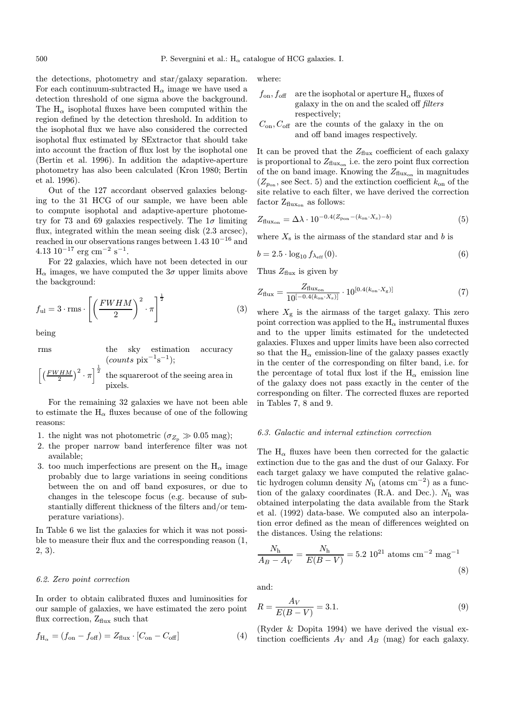the detections, photometry and star/galaxy separation. For each continuum-subtracted  $H_{\alpha}$  image we have used a detection threshold of one sigma above the background. The  $H_{\alpha}$  isophotal fluxes have been computed within the region defined by the detection threshold. In addition to the isophotal flux we have also considered the corrected isophotal flux estimated by SExtractor that should take into account the fraction of flux lost by the isophotal one (Bertin et al. 1996). In addition the adaptive-aperture photometry has also been calculated (Kron 1980; Bertin et al. 1996).

Out of the 127 accordant observed galaxies belonging to the 31 HCG of our sample, we have been able to compute isophotal and adaptive-aperture photometry for 73 and 69 galaxies respectively. The  $1\sigma$  limiting flux, integrated within the mean seeing disk (2.3 arcsec), reached in our observations ranges between 1.43 10<sup>−</sup><sup>16</sup> and  $4.13 \; 10^{-17} \; \text{erg} \; \text{cm}^{-2} \; \text{s}^{-1}.$ 

For 22 galaxies, which have not been detected in our  $H_{\alpha}$  images, we have computed the  $3\sigma$  upper limits above the background:

$$
f_{\rm ul} = 3 \cdot \text{rms} \cdot \left[ \left( \frac{FWHM}{2} \right)^2 \cdot \pi \right]^{\frac{1}{2}} \tag{3}
$$

being

rms the sky estimation accuracy  
\n(*counts* pix<sup>-1</sup>s<sup>-1</sup>);  
\n
$$
\left[ \left( \frac{FWHM}{2} \right)^2 \cdot \pi \right]^{\frac{1}{2}}
$$
 the squareroot of the seeing area in pixels.

For the remaining 32 galaxies we have not been able to estimate the  $H_{\alpha}$  fluxes because of one of the following reasons:

- 1. the night was not photometric ( $\sigma_{Z_p} \gg 0.05$  mag);
- 2. the proper narrow band interference filter was not available;
- 3. too much imperfections are present on the  $H_{\alpha}$  image probably due to large variations in seeing conditions between the on and off band exposures, or due to changes in the telescope focus (e.g. because of substantially different thickness of the filters and/or temperature variations).

In Table 6 we list the galaxies for which it was not possible to measure their flux and the corresponding reason (1, 2, 3).

#### 6.2. Zero point correction

In order to obtain calibrated fluxes and luminosities for our sample of galaxies, we have estimated the zero point flux correction,  $Z_{\text{flux}}$  such that

$$
f_{\mathrm{H}_{\alpha}} = (f_{\mathrm{on}} - f_{\mathrm{off}}) = Z_{\mathrm{flux}} \cdot [C_{\mathrm{on}} - C_{\mathrm{off}}]
$$
(4)

where:

$$
f_{\text{on}}
$$
,  $f_{\text{off}}$  are the isophotal or aperture H <sub>$\alpha$</sub>  fluxes of galaxy in the on and the scaled off *filters* respectively;

 $C_{\rm on}, C_{\rm off}$  are the counts of the galaxy in the on and off band images respectively.

It can be proved that the  $Z_{\text{flux}}$  coefficient of each galaxy is proportional to  $Z_{\text{flux}_{\text{on}}}$  i.e. the zero point flux correction of the on band image. Knowing the  $Z_{\text{flux}_{\text{on}}}$  in magnitudes  $(Z_{p_{\rm on}},$  see Sect. 5) and the extinction coefficient  $k_{\rm on}$  of the site relative to each filter, we have derived the correction factor  $Z_{\text{flux}_{\text{on}}}$  as follows:

$$
Z_{\text{flux}_{\text{on}}} = \Delta \lambda \cdot 10^{-0.4(Z_{\text{pon}} - (k_{\text{on}} \cdot X_{\text{s}}) - b)} \tag{5}
$$

where  $X_s$  is the airmass of the standard star and b is

$$
b = 2.5 \cdot \log_{10} f_{\lambda_{\text{eff}}} (0). \tag{6}
$$

Thus  $Z_{\text{flux}}$  is given by

$$
Z_{\text{flux}} = \frac{Z_{\text{flux}_{\text{on}}}}{10^{[-0.4(k_{\text{on}} \cdot X_s)]}} \cdot 10^{[0.4(k_{\text{on}} \cdot X_g)]} \tag{7}
$$

where  $X_g$  is the airmass of the target galaxy. This zero point correction was applied to the  $H_{\alpha}$  instrumental fluxes and to the upper limits estimated for the undetected galaxies. Fluxes and upper limits have been also corrected so that the  $H_{\alpha}$  emission-line of the galaxy passes exactly in the center of the corresponding on filter band, i.e. for the percentage of total flux lost if the  $H_{\alpha}$  emission line of the galaxy does not pass exactly in the center of the corresponding on filter. The corrected fluxes are reported in Tables 7, 8 and 9.

#### 6.3. Galactic and internal extinction correction

The  $H_{\alpha}$  fluxes have been then corrected for the galactic extinction due to the gas and the dust of our Galaxy. For each target galaxy we have computed the relative galactic hydrogen column density  $N<sub>h</sub>$  (atoms cm<sup>-2</sup>) as a function of the galaxy coordinates (R.A. and Dec.).  $N_h$  was obtained interpolating the data available from the Stark et al. (1992) data-base. We computed also an interpolation error defined as the mean of differences weighted on the distances. Using the relations:

$$
\frac{N_{\rm h}}{A_B - A_V} = \frac{N_{\rm h}}{E(B - V)} = 5.2 \, 10^{21} \, \text{atoms cm}^{-2} \, \text{mag}^{-1} \tag{8}
$$

and:

$$
R = \frac{A_V}{E(B - V)} = 3.1.
$$
\n(9)

(Ryder & Dopita 1994) we have derived the visual extinction coefficients  $A_V$  and  $A_B$  (mag) for each galaxy.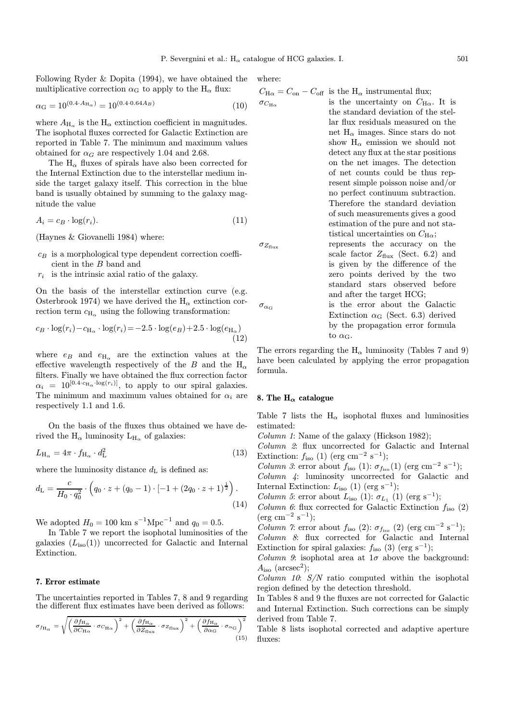Following Ryder & Dopita (1994), we have obtained the multiplicative correction  $\alpha_{\rm G}$  to apply to the H<sub>α</sub> flux:

$$
\alpha_{\rm G} = 10^{(0.4 \cdot A_{\rm H_{\alpha}})} = 10^{(0.4 \cdot 0.64 A_B)}
$$
\n(10)

where  $A_{\text{H}_{\alpha}}$  is the  $\text{H}_{\alpha}$  extinction coefficient in magnitudes. The isophotal fluxes corrected for Galactic Extinction are reported in Table 7. The minimum and maximum values obtained for  $\alpha_G$  are respectively 1.04 and 2.68.

The  $H_{\alpha}$  fluxes of spirals have also been corrected for the Internal Extinction due to the interstellar medium inside the target galaxy itself. This correction in the blue band is usually obtained by summing to the galaxy magnitude the value

$$
A_i = c_B \cdot \log(r_i). \tag{11}
$$

(Haynes & Giovanelli 1984) where:

- $c_B$  is a morphological type dependent correction coefficient in the B band and
- $r_i$  is the intrinsic axial ratio of the galaxy.

On the basis of the interstellar extinction curve (e.g. Osterbrook 1974) we have derived the  $H_{\alpha}$  extinction correction term  $c_{\text{H}_{\alpha}}$  using the following transformation:

$$
c_B \cdot \log(r_i) - c_{\text{H}_{\alpha}} \cdot \log(r_i) = -2.5 \cdot \log(e_B) + 2.5 \cdot \log(e_{\text{H}_{\alpha}})
$$
\n(12)

where  $e_B$  and  $e_{H_{\alpha}}$  are the extinction values at the effective wavelength respectively of the B and the  $H_{\alpha}$ filters. Finally we have obtained the flux correction factor  $\alpha_i = 10^{[0.4 \cdot c_{\text{H}_{\alpha}} \cdot \log(r_i)]}$ , to apply to our spiral galaxies. The minimum and maximum values obtained for  $\alpha_i$  are respectively 1.1 and 1.6.

On the basis of the fluxes thus obtained we have derived the  $H_{\alpha}$  luminosity  $L_{H_{\alpha}}$  of galaxies:

$$
L_{\rm H_{\alpha}} = 4\pi \cdot f_{\rm H_{\alpha}} \cdot d_{\rm L}^2 \tag{13}
$$

where the luminosity distance  $d_{\text{L}}$  is defined as:

$$
d_{\mathcal{L}} = \frac{c}{H_0 \cdot q_0^2} \cdot \left( q_0 \cdot z + (q_0 - 1) \cdot [-1 + (2q_0 \cdot z + 1)^{\frac{1}{2}} \right). \tag{14}
$$

We adopted  $H_0 = 100 \text{ km s}^{-1} \text{Mpc}^{-1}$  and  $q_0 = 0.5$ .

In Table 7 we report the isophotal luminosities of the galaxies  $(L_{\text{iso}}(1))$  uncorrected for Galactic and Internal Extinction.

#### 7. Error estimate

The uncertainties reported in Tables 7, 8 and 9 regarding the different flux estimates have been derived as follows:

$$
\sigma_{f_{\text{H}_{\alpha}}} = \sqrt{\left(\frac{\partial f_{\text{H}_{\alpha}}}{\partial C_{\text{H}_{\alpha}}} \cdot \sigma_{C_{\text{H}_{\alpha}}}\right)^2 + \left(\frac{\partial f_{\text{H}_{\alpha}}}{\partial Z_{\text{flux}}} \cdot \sigma_{Z_{\text{flux}}}\right)^2 + \left(\frac{\partial f_{\text{H}_{\alpha}}}{\partial \alpha_{\text{G}}} \cdot \sigma_{\alpha_{\text{G}}}\right)^2}
$$
(15)

where:

$$
C_{\text{H}\alpha} = C_{\text{on}} - C_{\text{off}}
$$
 is the H<sub>\alpha</sub> instrumental flux;  
is the uncertainty on  $C_{\text{H}\alpha}$ . It is

- the standard deviation of the stellar flux residuals measured on the net  $H_{\alpha}$  images. Since stars do not show  $H_{\alpha}$  emission we should not detect any flux at the star positions on the net images. The detection of net counts could be thus represent simple poisson noise and/or no perfect continuum subtraction. Therefore the standard deviation of such measurements gives a good estimation of the pure and not statistical uncertainties on  $C_{\text{H}\alpha}$ ;  $\sigma_{Z_{\text{flux}}}$  represents the accuracy on the
- scale factor  $Z_{\text{flux}}$  (Sect. 6.2) and is given by the difference of the zero points derived by the two standard stars observed before and after the target HCG;  $\sigma_{\alpha_G}$  is the error about the Galactic Extinction  $\alpha_G$  (Sect. 6.3) derived by the propagation error formula to  $\alpha_{\rm G}$ .

The errors regarding the  $H_{\alpha}$  luminosity (Tables 7 and 9) have been calculated by applying the error propagation formula.

## 8. The  $H_{\alpha}$  catalogue

Table 7 lists the  $H_{\alpha}$  isophotal fluxes and luminosities estimated:

Column 1: Name of the galaxy (Hickson 1982);

Column 2: flux uncorrected for Galactic and Internal Extinction:  $f_{\text{iso}}$  (1) (erg cm<sup>-2</sup> s<sup>-1</sup>);

*Column 3*: error about  $f_{\text{iso}}(1)$ :  $\sigma_{f_{\text{iso}}}(1)$  (erg cm<sup>-2</sup> s<sup>-1</sup>);

Column 4: luminosity uncorrected for Galactic and Internal Extinction:  $L<sub>iso</sub>$  (1) (erg s<sup>-1</sup>);

Column 5: error about  $L_{\text{iso}}$  (1):  $\sigma_{L_1}$  (1) (erg s<sup>-1</sup>);

Column 6: flux corrected for Galactic Extinction  $f_{\text{iso}}(2)$  $(\text{erg cm}^{-2} \text{ s}^{-1});$ 

Column 7: error about  $f_{\text{iso}}(2)$ :  $\sigma_{f_{\text{iso}}}(2)$  (erg cm<sup>-2</sup> s<sup>-1</sup>); Column 8: flux corrected for Galactic and Internal Extinction for spiral galaxies:  $f_{\text{iso}}$  (3) (erg s<sup>-1</sup>);

Column 9: isophotal area at  $1\sigma$  above the background:  $A<sub>iso</sub>$  (arcsec<sup>2</sup>);

Column 10:  $S/N$  ratio computed within the isophotal region defined by the detection threshold.

In Tables 8 and 9 the fluxes are not corrected for Galactic and Internal Extinction. Such corrections can be simply derived from Table 7.

Table 8 lists isophotal corrected and adaptive aperture fluxes: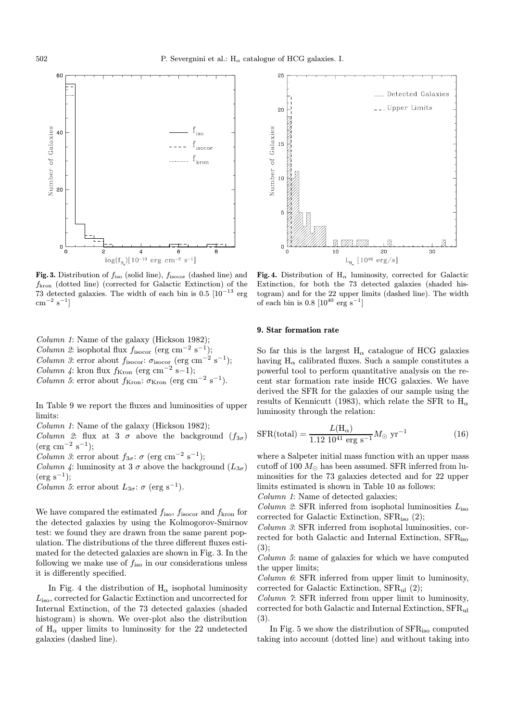

Fig. 3. Distribution of  $f_{\text{iso}}$  (solid line),  $f_{\text{isocor}}$  (dashed line) and fkron (dotted line) (corrected for Galactic Extinction) of the 73 detected galaxies. The width of each bin is  $0.5 \times 10^{-13}$  erg  $\rm cm^{-2}~s^{-1}]$ 

Column 1: Name of the galaxy (Hickson 1982); Column 2: isophotal flux  $f_{\text{isocor}}$  (erg cm<sup>-2</sup> s<sup>-1</sup>); Column 3: error about  $f_{\text{isocor}}$ :  $\sigma_{\text{isocor}}$  (erg cm<sup>-2</sup> s<sup>-1</sup>); Column 4: kron flux  $f_{\text{Kron}}$  (erg cm<sup>-2</sup> s−1); Column 5: error about  $f_{\rm Kron}$ :  $\sigma_{\rm Kron}$  (erg cm<sup>-2</sup> s<sup>-1</sup>).

In Table 9 we report the fluxes and luminosities of upper limits:

Column 1: Name of the galaxy (Hickson 1982);

Column 2: flux at 3  $\sigma$  above the background  $(f_{3\sigma})$  $(erg cm<sup>-2</sup> s<sup>-1</sup>);$ 

Column 3: error about  $f_{3\sigma}$ :  $\sigma$  (erg cm<sup>-2</sup> s<sup>-1</sup>);

*Column 4*: luminosity at 3  $\sigma$  above the background  $(L_{3\sigma})$  $(erg s<sup>-1</sup>);$ 

Column 5: error about  $L_{3\sigma}$ :  $\sigma$  (erg s<sup>-1</sup>).

We have compared the estimated  $f_{\rm iso},$   $f_{\rm isocor}$  and  $f_{\rm kron}$  for the detected galaxies by using the Kolmogorov-Smirnov test: we found they are drawn from the same parent population. The distributions of the three different fluxes estimated for the detected galaxies are shown in Fig. 3. In the following we make use of  $f_{\text{iso}}$  in our considerations unless it is differently specified.

In Fig. 4 the distribution of  $H_{\alpha}$  isophotal luminosity Liso, corrected for Galactic Extinction and uncorrected for Internal Extinction, of the 73 detected galaxies (shaded histogram) is shown. We over-plot also the distribution of  $H_{\alpha}$  upper limits to luminosity for the 22 undetected galaxies (dashed line).



Fig. 4. Distribution of  $H_{\alpha}$  luminosity, corrected for Galactic Extinction, for both the 73 detected galaxies (shaded histogram) and for the 22 upper limits (dashed line). The width of each bin is  $0.8 \left[10^{40} \text{ erg s}^{-1}\right]$ 

#### 9. Star formation rate

So far this is the largest  $H_{\alpha}$  catalogue of HCG galaxies having  $H_{\alpha}$  calibrated fluxes. Such a sample constitutes a powerful tool to perform quantitative analysis on the recent star formation rate inside HCG galaxies. We have derived the SFR for the galaxies of our sample using the results of Kennicutt (1983), which relate the SFR to  $H_{\alpha}$ luminosity through the relation:

$$
SFR(total) = \frac{L(H_{\alpha})}{1.12 \ 10^{41} \ \text{erg s}^{-1}} M_{\odot} \ \text{yr}^{-1}
$$
 (16)

where a Salpeter initial mass function with an upper mass cutoff of 100  $M_{\odot}$  has been assumed. SFR inferred from luminosities for the 73 galaxies detected and for 22 upper limits estimated is shown in Table 10 as follows:

Column 1: Name of detected galaxies;

Column 2: SFR inferred from isophotal luminosities  $L_{\text{iso}}$ corrected for Galactic Extinction,  $SFR<sub>iso</sub>$  (2);

Column 3: SFR inferred from isophotal luminosities, corrected for both Galactic and Internal Extinction, SFR<sub>iso</sub> (3);

Column 5: name of galaxies for which we have computed the upper limits;

Column 6: SFR inferred from upper limit to luminosity, corrected for Galactic Extinction, SFRul (2);

Column 7: SFR inferred from upper limit to luminosity, corrected for both Galactic and Internal Extinction, SFRul (3).

In Fig. 5 we show the distribution of SFRiso computed taking into account (dotted line) and without taking into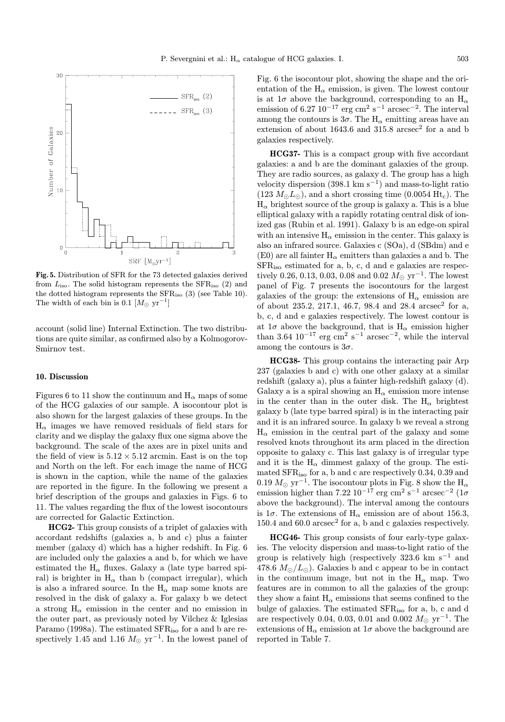

Fig. 5. Distribution of SFR for the 73 detected galaxies derived from  $L<sub>iso</sub>$ . The solid histogram represents the SFR<sub>iso</sub> (2) and the dotted histogram represents the SFRiso (3) (see Table 10). The width of each bin is 0.1  $[M_{\odot} \text{ yr}^{-1}]$ 

account (solid line) Internal Extinction. The two distributions are quite similar, as confirmed also by a Kolmogorov-Smirnov test.

#### 10. Discussion

Figures 6 to 11 show the continuum and  $H_{\alpha}$  maps of some of the HCG galaxies of our sample. A isocontour plot is also shown for the largest galaxies of these groups. In the  $H_{\alpha}$  images we have removed residuals of field stars for clarity and we display the galaxy flux one sigma above the background. The scale of the axes are in pixel units and the field of view is  $5.12 \times 5.12$  arcmin. East is on the top and North on the left. For each image the name of HCG is shown in the caption, while the name of the galaxies are reported in the figure. In the following we present a brief description of the groups and galaxies in Figs. 6 to 11. The values regarding the flux of the lowest isocontours are corrected for Galactic Extinction.

HCG2- This group consists of a triplet of galaxies with accordant redshifts (galaxies a, b and c) plus a fainter member (galaxy d) which has a higher redshift. In Fig. 6 are included only the galaxies a and b, for which we have estimated the  $H_{\alpha}$  fluxes. Galaxy a (late type barred spiral) is brighter in  $H_{\alpha}$  than b (compact irregular), which is also a infrared source. In the  $H_{\alpha}$  map some knots are resolved in the disk of galaxy a. For galaxy b we detect a strong  $H_{\alpha}$  emission in the center and no emission in the outer part, as previously noted by Vilchez & Iglesias Paramo (1998a). The estimated SFRiso for a and b are respectively 1.45 and 1.16  $M_{\odot}$  yr<sup>-1</sup>. In the lowest panel of Fig. 6 the isocontour plot, showing the shape and the orientation of the  $H_{\alpha}$  emission, is given. The lowest contour is at  $1\sigma$  above the background, corresponding to an  $H_{\alpha}$ emission of 6.27  $10^{-17}$  erg cm<sup>2</sup> s<sup>-1</sup> arcsec<sup>-2</sup>. The interval among the contours is  $3\sigma$ . The H<sub>α</sub> emitting areas have an extension of about 1643.6 and 315.8  $\arccos^2$  for a and b galaxies respectively.

HCG37- This is a compact group with five accordant galaxies: a and b are the dominant galaxies of the group. They are radio sources, as galaxy d. The group has a high velocity dispersion  $(398.1 \text{ km s}^{-1})$  and mass-to-light ratio  $(123 M<sub>o</sub> L<sub>o</sub>)$ , and a short crossing time  $(0.0054 \text{ Ht}_{c})$ . The  $H_{\alpha}$  brightest source of the group is galaxy a. This is a blue elliptical galaxy with a rapidly rotating central disk of ionized gas (Rubin et al. 1991). Galaxy b is an edge-on spiral with an intensive  $H_{\alpha}$  emission in the center. This galaxy is also an infrared source. Galaxies c (SOa), d (SBdm) and e (E0) are all fainter  $H_{\alpha}$  emitters than galaxies a and b. The SFRiso estimated for a, b, c, d and e galaxies are respectively 0.26, 0.13, 0.03, 0.08 and 0.02  $M_{\odot}$  yr<sup>-1</sup>. The lowest panel of Fig. 7 presents the isocontours for the largest galaxies of the group: the extensions of  $H_{\alpha}$  emission are of about 235.2, 217.1, 46.7, 98.4 and 28.4  $\arcsec^2$  for a, b, c, d and e galaxies respectively. The lowest contour is at  $1\sigma$  above the background, that is  $H_{\alpha}$  emission higher than 3.64  $10^{-17}$  erg cm<sup>2</sup> s<sup>-1</sup> arcsec<sup>-2</sup>, while the interval among the contours is  $3\sigma$ .

HCG38- This group contains the interacting pair Arp 237 (galaxies b and c) with one other galaxy at a similar redshift (galaxy a), plus a fainter high-redshift galaxy (d). Galaxy a is a spiral showing an  $H_{\alpha}$  emission more intense in the center than in the outer disk. The  $H_{\alpha}$  brightest galaxy b (late type barred spiral) is in the interacting pair and it is an infrared source. In galaxy b we reveal a strong  $H_{\alpha}$  emission in the central part of the galaxy and some resolved knots throughout its arm placed in the direction opposite to galaxy c. This last galaxy is of irregular type and it is the  $H_{\alpha}$  dimmest galaxy of the group. The estimated SFRiso for a, b and c are respectively 0.34, 0.39 and  $0.19~M_\odot~{\rm yr^{-1}}.$  The isocontour plots in Fig. 8 show the  $\rm H_\alpha$ emission higher than 7.22 10<sup>-17</sup> erg cm<sup>2</sup> s<sup>-1</sup> arcsec<sup>-2</sup> (1 $\sigma$ above the background). The interval among the contours is  $1\sigma$ . The extensions of  $H_{\alpha}$  emission are of about 156.3, 150.4 and 60.0  $\arccosce^2$  for a, b and c galaxies respectively.

HCG46- This group consists of four early-type galaxies. The velocity dispersion and mass-to-light ratio of the group is relatively high (respectively 323.6 km s<sup> $-1$ </sup> and 478.6  $M_{\odot}/L_{\odot}$ ). Galaxies b and c appear to be in contact in the continuum image, but not in the  $H_{\alpha}$  map. Two features are in common to all the galaxies of the group: they show a faint  $H_{\alpha}$  emissions that seems confined to the bulge of galaxies. The estimated SFRiso for a, b, c and d are respectively 0.04, 0.03, 0.01 and 0.002  $M_{\odot}$  yr<sup>-1</sup>. The extensions of  $\mathcal{H}_{\alpha}$  emission at  $1\sigma$  above the background are reported in Table 7.